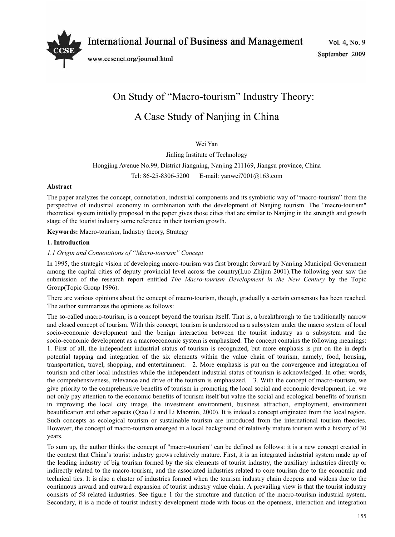

International Journal of Business and Management

www.ccsenet.org/journal.html

# On Study of "Macro-tourism" Industry Theory: A Case Study of Nanjing in China

# Wei Yan

Jinling Institute of Technology

Hongjing Avenue No.99, District Jiangning, Nanjing 211169, Jiangsu province, China

Tel: 86-25-8306-5200 E-mail: yanwei7001@163.com

# **Abstract**

The paper analyzes the concept, connotation, industrial components and its symbiotic way of "macro-tourism" from the perspective of industrial economy in combination with the development of Nanjing tourism. The "macro-tourism" theoretical system initially proposed in the paper gives those cities that are similar to Nanjing in the strength and growth stage of the tourist industry some reference in their tourism growth.

**Keywords:** Macro-tourism, Industry theory, Strategy

### **1. Introduction**

*1.1 Origin and Connotations of "Macro-tourism" Concept* 

In 1995, the strategic vision of developing macro-tourism was first brought forward by Nanjing Municipal Government among the capital cities of deputy provincial level across the country(Luo Zhijun 2001).The following year saw the submission of the research report entitled *The Macro-tourism Development in the New Century* by the Topic Group(Topic Group 1996).

There are various opinions about the concept of macro-tourism, though, gradually a certain consensus has been reached. The author summarizes the opinions as follows:

The so-called macro-tourism, is a concept beyond the tourism itself. That is, a breakthrough to the traditionally narrow and closed concept of tourism. With this concept, tourism is understood as a subsystem under the macro system of local socio-economic development and the benign interaction between the tourist industry as a subsystem and the socio-economic development as a macroeconomic system is emphasized. The concept contains the following meanings: 1. First of all, the independent industrial status of tourism is recognized, but more emphasis is put on the in-depth potential tapping and integration of the six elements within the value chain of tourism, namely, food, housing, transportation, travel, shopping, and entertainment. 2. More emphasis is put on the convergence and integration of tourism and other local industries while the independent industrial status of tourism is acknowledged. In other words, the comprehensiveness, relevance and drive of the tourism is emphasized. 3. With the concept of macro-tourism, we give priority to the comprehensive benefits of tourism in promoting the local social and economic development, i.e. we not only pay attention to the economic benefits of tourism itself but value the social and ecological benefits of tourism in improving the local city image, the investment environment, business attraction, employment, environment beautification and other aspects (Qiao Li and Li Maomin, 2000). It is indeed a concept originated from the local region. Such concepts as ecological tourism or sustainable tourism are introduced from the international tourism theories. However, the concept of macro-tourism emerged in a local background of relatively mature tourism with a history of 30 years.

To sum up, the author thinks the concept of "macro-tourism" can be defined as follows: it is a new concept created in the context that China's tourist industry grows relatively mature. First, it is an integrated industrial system made up of the leading industry of big tourism formed by the six elements of tourist industry, the auxiliary industries directly or indirectly related to the macro-tourism, and the associated industries related to core tourism due to the economic and technical ties. It is also a cluster of industries formed when the tourism industry chain deepens and widens due to the continuous inward and outward expansion of tourist industry value chain. A prevailing view is that the tourist industry consists of 58 related industries. See figure 1 for the structure and function of the macro-tourism industrial system. Secondary, it is a mode of tourist industry development mode with focus on the openness, interaction and integration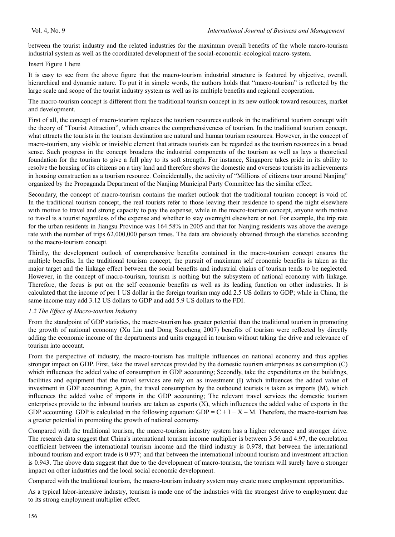between the tourist industry and the related industries for the maximum overall benefits of the whole macro-tourism industrial system as well as the coordinated development of the social-economic-ecological macro-system.

#### Insert Figure 1 here

It is easy to see from the above figure that the macro-tourism industrial structure is featured by objective, overall, hierarchical and dynamic nature. To put it in simple words, the authors holds that "macro-tourism" is reflected by the large scale and scope of the tourist industry system as well as its multiple benefits and regional cooperation.

The macro-tourism concept is different from the traditional tourism concept in its new outlook toward resources, market and development.

First of all, the concept of macro-tourism replaces the tourism resources outlook in the traditional tourism concept with the theory of "Tourist Attraction", which ensures the comprehensiveness of tourism. In the traditional tourism concept, what attracts the tourists in the tourism destination are natural and human tourism resources. However, in the concept of macro-tourism, any visible or invisible element that attracts tourists can be regarded as the tourism resources in a broad sense. Such progress in the concept broadens the industrial components of the tourism as well as lays a theoretical foundation for the tourism to give a full play to its soft strength. For instance, Singapore takes pride in its ability to resolve the housing of its citizens on a tiny land and therefore shows the domestic and overseas tourists its achievements in housing construction as a tourism resource. Coincidentally, the activity of "Millions of citizens tour around Nanjing" organized by the Propaganda Department of the Nanjing Municipal Party Committee has the similar effect.

Secondary, the concept of macro-tourism contains the market outlook that the traditional tourism concept is void of. In the traditional tourism concept, the real tourists refer to those leaving their residence to spend the night elsewhere with motive to travel and strong capacity to pay the expense; while in the macro-tourism concept, anyone with motive to travel is a tourist regardless of the expense and whether to stay overnight elsewhere or not. For example, the trip rate for the urban residents in Jiangsu Province was 164.58% in 2005 and that for Nanjing residents was above the average rate with the number of trips 62,000,000 person times. The data are obviously obtained through the statistics according to the macro-tourism concept.

Thirdly, the development outlook of comprehensive benefits contained in the macro-tourism concept ensures the multiple benefits. In the traditional tourism concept, the pursuit of maximum self economic benefits is taken as the major target and the linkage effect between the social benefits and industrial chains of tourism tends to be neglected. However, in the concept of macro-tourism, tourism is nothing but the subsystem of national economy with linkage. Therefore, the focus is put on the self economic benefits as well as its leading function on other industries. It is calculated that the income of per 1 US dollar in the foreign tourism may add 2.5 US dollars to GDP; while in China, the same income may add 3.12 US dollars to GDP and add 5.9 US dollars to the FDI.

#### *1.2 The Effect of Macro-tourism Industry*

From the standpoint of GDP statistics, the macro-tourism has greater potential than the traditional tourism in promoting the growth of national economy (Xu Lin and Dong Suocheng 2007) benefits of tourism were reflected by directly adding the economic income of the departments and units engaged in tourism without taking the drive and relevance of tourism into account.

From the perspective of industry, the macro-tourism has multiple influences on national economy and thus applies stronger impact on GDP. First, take the travel services provided by the domestic tourism enterprises as consumption (C) which influences the added value of consumption in GDP accounting; Secondly, take the expenditures on the buildings, facilities and equipment that the travel services are rely on as investment (I) which influences the added value of investment in GDP accounting; Again, the travel consumption by the outbound tourists is taken as imports (M), which influences the added value of imports in the GDP accounting; The relevant travel services the domestic tourism enterprises provide to the inbound tourists are taken as exports  $(X)$ , which influences the added value of exports in the GDP accounting. GDP is calculated in the following equation: GDP =  $C + I + X - M$ . Therefore, the macro-tourism has a greater potential in promoting the growth of national economy.

Compared with the traditional tourism, the macro-tourism industry system has a higher relevance and stronger drive. The research data suggest that China's international tourism income multiplier is between 3.56 and 4.97, the correlation coefficient between the international tourism income and the third industry is 0.978, that between the international inbound tourism and export trade is 0.977; and that between the international inbound tourism and investment attraction is 0.943. The above data suggest that due to the development of macro-tourism, the tourism will surely have a stronger impact on other industries and the local social economic development.

Compared with the traditional tourism, the macro-tourism industry system may create more employment opportunities.

As a typical labor-intensive industry, tourism is made one of the industries with the strongest drive to employment due to its strong employment multiplier effect.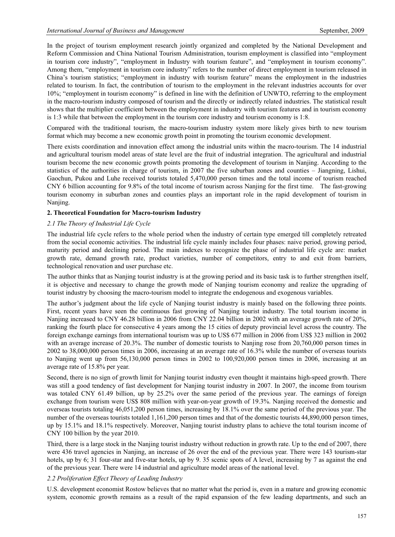In the project of tourism employment research jointly organized and completed by the National Development and Reform Commission and China National Tourism Administration, tourism employment is classified into "employment in tourism core industry", "employment in Industry with tourism feature", and "employment in tourism economy". Among them, "employment in tourism core industry" refers to the number of direct employment in tourism released in China's tourism statistics; "employment in industry with tourism feature" means the employment in the industries related to tourism. In fact, the contribution of tourism to the employment in the relevant industries accounts for over 10%; "employment in tourism economy" is defined in line with the definition of UNWTO, referring to the employment in the macro-tourism industry composed of tourism and the directly or indirectly related industries. The statistical result shows that the multiplier coefficient between the employment in industry with tourism features and in tourism economy is 1:3 while that between the employment in the tourism core industry and tourism economy is 1:8.

Compared with the traditional tourism, the macro-tourism industry system more likely gives birth to new tourism format which may become a new economic growth point in promoting the tourism economic development.

There exists coordination and innovation effect among the industrial units within the macro-tourism. The 14 industrial and agricultural tourism model areas of state level are the fruit of industrial integration. The agricultural and industrial tourism become the new economic growth points promoting the development of tourism in Nanjing. According to the statistics of the authorities in charge of tourism, in 2007 the five suburban zones and counties – Jiangning, Lishui, Gaochun, Pukou and Luhe received tourists totaled 5,470,000 person times and the total income of tourism reached CNY 6 billion accounting for 9.8% of the total income of tourism across Nanjing for the first time. The fast-growing tourism economy in suburban zones and counties plays an important role in the rapid development of tourism in Nanjing.

#### **2. Theoretical Foundation for Macro-tourism Industry**

#### *2.1 The Theory of Industrial Life Cycle*

The industrial life cycle refers to the whole period when the industry of certain type emerged till completely retreated from the social economic activities. The industrial life cycle mainly includes four phases: naive period, growing period, maturity period and declining period. The main indexes to recognize the phase of industrial life cycle are: market growth rate, demand growth rate, product varieties, number of competitors, entry to and exit from barriers, technological renovation and user purchase etc.

The author thinks that as Nanjing tourist industry is at the growing period and its basic task is to further strengthen itself, it is objective and necessary to change the growth mode of Nanjing tourism economy and realize the upgrading of tourist industry by choosing the macro-tourism model to integrate the endogenous and exogenous variables.

The author's judgment about the life cycle of Nanjing tourist industry is mainly based on the following three points. First, recent years have seen the continuous fast growing of Nanjing tourist industry. The total tourism income in Nanjing increased to CNY 46.28 billion in 2006 from CNY 22.04 billion in 2002 with an average growth rate of 20%, ranking the fourth place for consecutive 4 years among the 15 cities of deputy provincial level across the country. The foreign exchange earnings from international tourism was up to US\$ 677 million in 2006 from US\$ 323 million in 2002 with an average increase of 20.3%. The number of domestic tourists to Nanjing rose from 20,760,000 person times in 2002 to 38,000,000 person times in 2006, increasing at an average rate of 16.3% while the number of overseas tourists to Nanjing went up from 56,130,000 person times in 2002 to 100,920,000 person times in 2006, increasing at an average rate of 15.8% per year.

Second, there is no sign of growth limit for Nanjing tourist industry even thought it maintains high-speed growth. There was still a good tendency of fast development for Nanjing tourist industry in 2007. In 2007, the income from tourism was totaled CNY 61.49 billion, up by 25.2% over the same period of the previous year. The earnings of foreign exchange from tourism were US\$ 808 million with year-on-year growth of 19.3%. Nanjing received the domestic and overseas tourists totaling 46,051,200 person times, increasing by 18.1% over the same period of the previous year. The number of the overseas tourists totaled 1,161,200 person times and that of the domestic tourists 44,890,000 person times, up by 15.1% and 18.1% respectively. Moreover, Nanjing tourist industry plans to achieve the total tourism income of CNY 100 billion by the year 2010.

Third, there is a large stock in the Nanjing tourist industry without reduction in growth rate. Up to the end of 2007, there were 436 travel agencies in Nanjing, an increase of 26 over the end of the previous year. There were 143 tourism-star hotels, up by 6; 31 four-star and five-star hotels, up by 9. 35 scenic spots of A level, increasing by 7 as against the end of the previous year. There were 14 industrial and agriculture model areas of the national level.

#### *2.2 Proliferation Effect Theory of Leading Industry*

U.S. development economist Rostow believes that no matter what the period is, even in a mature and growing economic system, economic growth remains as a result of the rapid expansion of the few leading departments, and such an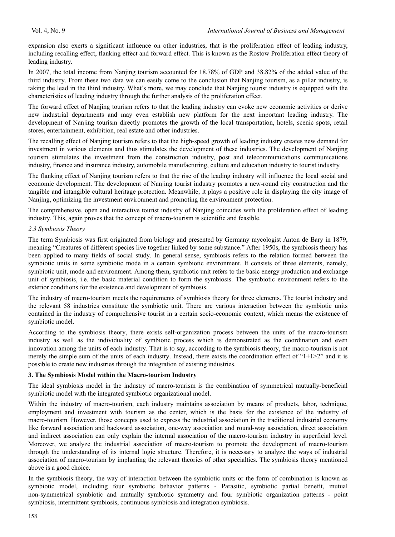expansion also exerts a significant influence on other industries, that is the proliferation effect of leading industry, including recalling effect, flanking effect and forward effect. This is known as the Rostow Proliferation effect theory of leading industry.

In 2007, the total income from Nanjing tourism accounted for 18.78% of GDP and 38.82% of the added value of the third industry. From these two data we can easily come to the conclusion that Nanjing tourism, as a pillar industry, is taking the lead in the third industry. What's more, we may conclude that Nanjing tourist industry is equipped with the characteristics of leading industry through the further analysis of the proliferation effect.

The forward effect of Nanjing tourism refers to that the leading industry can evoke new economic activities or derive new industrial departments and may even establish new platform for the next important leading industry. The development of Nanjing tourism directly promotes the growth of the local transportation, hotels, scenic spots, retail stores, entertainment, exhibition, real estate and other industries.

The recalling effect of Nanjing tourism refers to that the high-speed growth of leading industry creates new demand for investment in various elements and thus stimulates the development of these industries. The development of Nanjing tourism stimulates the investment from the construction industry, post and telecommunications communications industry, finance and insurance industry, automobile manufacturing, culture and education industry to tourist industry.

The flanking effect of Nanjing tourism refers to that the rise of the leading industry will influence the local social and economic development. The development of Nanjing tourist industry promotes a new-round city construction and the tangible and intangible cultural heritage protection. Meanwhile, it plays a positive role in displaying the city image of Nanjing, optimizing the investment environment and promoting the environment protection.

The comprehensive, open and interactive tourist industry of Nanjing coincides with the proliferation effect of leading industry. This, again proves that the concept of macro-tourism is scientific and feasible.

#### *2.3 Symbiosis Theory*

The term Symbiosis was first originated from biology and presented by Germany mycologist Anton de Bary in 1879, meaning "Creatures of different species live together linked by some substance." After 1950s, the symbiosis theory has been applied to many fields of social study. In general sense, symbiosis refers to the relation formed between the symbiotic units in some symbiotic mode in a certain symbiotic environment. It consists of three elements, namely, symbiotic unit, mode and environment. Among them, symbiotic unit refers to the basic energy production and exchange unit of symbiosis, i.e. the basic material condition to form the symbiosis. The symbiotic environment refers to the exterior conditions for the existence and development of symbiosis.

The industry of macro-tourism meets the requirements of symbiosis theory for three elements. The tourist industry and the relevant 58 industries constitute the symbiotic unit. There are various interaction between the symbiotic units contained in the industry of comprehensive tourist in a certain socio-economic context, which means the existence of symbiotic model.

According to the symbiosis theory, there exists self-organization process between the units of the macro-tourism industry as well as the individuality of symbiotic process which is demonstrated as the coordination and even innovation among the units of each industry. That is to say, according to the symbiosis theory, the macro-tourism is not merely the simple sum of the units of each industry. Instead, there exists the coordination effect of " $1+1>2$ " and it is possible to create new industries through the integration of existing industries.

#### **3. The Symbiosis Model within the Macro-tourism Industry**

The ideal symbiosis model in the industry of macro-tourism is the combination of symmetrical mutually-beneficial symbiotic model with the integrated symbiotic organizational model.

Within the industry of macro-tourism, each industry maintains association by means of products, labor, technique, employment and investment with tourism as the center, which is the basis for the existence of the industry of macro-tourism. However, those concepts used to express the industrial association in the traditional industrial economy like forward association and backward association, one-way association and round-way association, direct association and indirect association can only explain the internal association of the macro-tourism industry in superficial level. Moreover, we analyze the industrial association of macro-tourism to promote the development of macro-tourism through the understanding of its internal logic structure. Therefore, it is necessary to analyze the ways of industrial association of macro-tourism by implanting the relevant theories of other specialties. The symbiosis theory mentioned above is a good choice.

In the symbiosis theory, the way of interaction between the symbiotic units or the form of combination is known as symbiotic model, including four symbiotic behavior patterns - Parasitic, symbiotic partial benefit, mutual non-symmetrical symbiotic and mutually symbiotic symmetry and four symbiotic organization patterns - point symbiosis, intermittent symbiosis, continuous symbiosis and integration symbiosis.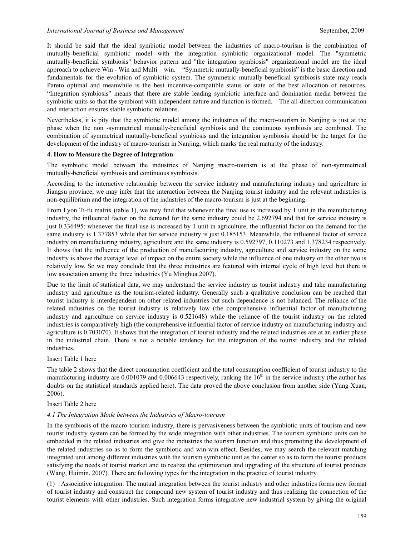It should be said that the ideal symbiotic model between the industries of macro-tourism is the combination of mutually-beneficial symbiotic model with the integration symbiotic organizational model. The "symmetric mutually-beneficial symbiosis" behavior pattern and "the integration symbiosis" organizational model are the ideal approach to achieve Win - Win and Multi – win. "Symmetric mutually-beneficial symbiosis" is the basic direction and fundamentals for the evolution of symbiotic system. The symmetric mutually-beneficial symbiosis state may reach Pareto optimal and meanwhile is the best incentive-compatible status or state of the best allocation of resources. "Integration symbiosis" means that there are stable leading symbiotic interface and domination media between the symbiotic units so that the symbiont with independent nature and function is formed. The all-direction communication and interaction ensures stable symbiotic relations.

Nevertheless, it is pity that the symbiotic model among the industries of the macro-tourism in Nanjing is just at the phase when the non -symmetrical mutually-beneficial symbiosis and the continuous symbiosis are combined. The combination of symmetrical mutually-beneficial symbiosis and the integration symbiosis should be the target for the development of the industry of macro-tourism in Nanjing, which marks the real maturity of the industry.

#### **4. How to Measure the Degree of Integration**

The symbiotic model between the industries of Nanjing macro-tourism is at the phase of non-symmetrical mutually-beneficial symbiosis and continuous symbiosis.

According to the interactive relationship between the service industry and manufacturing industry and agriculture in Jiangsu province, we may infer that the interaction between the Nanjing tourist industry and the relevant industries is non-equilibrium and the integration of the industries of the macro-tourism is just at the beginning.

From Lyon Ti-fu matrix (table 1), we may find that whenever the final use is increased by 1 unit in the manufacturing industry, the influential factor on the demand for the same industry could be 2.692794 and that for service industry is just 0.336495; whenever the final use is increased by 1 unit in agriculture, the influential factor on the demand for the same industry is 1.377853 while that for service industry is just 0.185153. Meanwhile, the influential factor of service industry on manufacturing industry, agriculture and the same industry is 0.592797, 0.110273 and 1.378234 respectively. It shows that the influence of the production of manufacturing industry, agriculture and service industry on the same industry is above the average level of impact on the entire society while the influence of one industry on the other two is relatively low. So we may conclude that the three industries are featured with internal cycle of high level but there is low association among the three industries (Yu Minghua 2007).

Due to the limit of statistical data, we may understand the service industry as tourist industry and take manufacturing industry and agriculture as the tourism-related industry. Generally such a qualitative conclusion can be reached that tourist industry is interdependent on other related industries but such dependence is not balanced. The reliance of the related industries on the tourist industry is relatively low (the comprehensive influential factor of manufacturing industry and agriculture on service industry is 0.521648) while the reliance of the tourist industry on the related industries is comparatively high (the comprehensive influential factor of service industry on manufacturing industry and agriculture is 0.703070). It shows that the integration of tourist industry and the related industries are at an earlier phase in the industrial chain. There is not a notable tendency for the integration of the tourist industry and the related industries.

#### Insert Table 1 here

The table 2 shows that the direct consumption coefficient and the total consumption coefficient of tourist industry to the manufacturing industry are 0.001079 and 0.006643 respectively, ranking the  $16<sup>th</sup>$  in the service industry (the author has doubts on the statistical standards applied here). The data proved the above conclusion from another side (Yang Xuan, 2006).

#### Insert Table 2 here

#### *4.1 The Integration Mode between the Industries of Macro-tourism*

In the symbiosis of the macro-tourism industry, there is pervasiveness between the symbiotic units of tourism and new tourist industry system can be formed by the wide integration with other industries. The tourism symbiotic units can be embedded in the related industries and give the industries the tourism function and thus promoting the development of the related industries so as to form the symbiotic and win-win effect. Besides, we may search the relevant matching integrated unit among different industries with the tourism symbiotic unit as the center so as to form the tourist products satisfying the needs of tourist market and to realize the optimization and upgrading of the structure of tourist products (Wang, Huimin, 2007). There are following types for the integration in the practice of tourist industry.

(1) Associative integration. The mutual integration between the tourist industry and other industries forms new format of tourist industry and construct the compound new system of tourist industry and thus realizing the connection of the tourist elements with other industries. Such integration forms integrative new industrial system by giving the original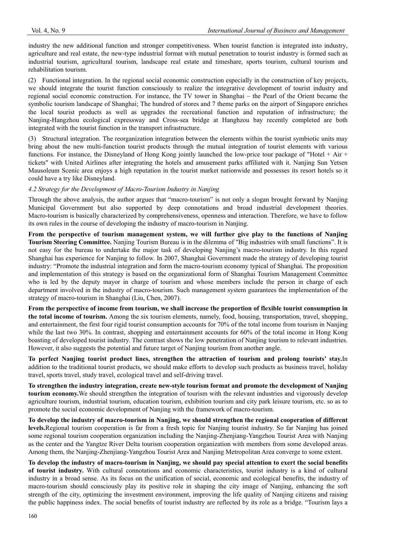industry the new additional function and stronger competitiveness. When tourist function is integrated into industry, agriculture and real estate, the new-type industrial format with mutual penetration to tourist industry is formed such as industrial tourism, agricultural tourism, landscape real estate and timeshare, sports tourism, cultural tourism and rehabilitation tourism.

(2) Functional integration. In the regional social economic construction especially in the construction of key projects, we should integrate the tourist function consciously to realize the integrative development of tourist industry and regional social economic construction. For instance, the TV tower in Shanghai – the Pearl of the Orient became the symbolic tourism landscape of Shanghai; The hundred of stores and 7 theme parks on the airport of Singapore enriches the local tourist products as well as upgrades the recreational function and reputation of infrastructure; the Nanjing-Hangzhou ecological expressway and Cross-sea bridge at Hanghzou bay recently completed are both integrated with the tourist function in the transport infrastructure.

(3) Structural integration. The reorganization integration between the elements within the tourist symbiotic units may bring about the new multi-function tourist products through the mutual integration of tourist elements with various functions. For instance, the Disneyland of Hong Kong jointly launched the low-price tour package of "Hotel  $+$  Air  $+$ tickets" with United Airlines after integrating the hotels and amusement parks affiliated with it. Nanjing Sun Yetsen Mausoleum Scenic area enjoys a high reputation in the tourist market nationwide and possesses its resort hotels so it could have a try like Disneyland.

#### *4.2 Strategy for the Development of Macro-Tourism Industry in Nanjing*

Through the above analysis, the author argues that "macro-tourism" is not only a slogan brought forward by Nanjing Municipal Government but also supported by deep connotations and broad industrial development theories. Macro-tourism is basically characterized by comprehensiveness, openness and interaction. Therefore, we have to follow its own rules in the course of developing the industry of macro-tourism in Nanjing.

**From the perspective of tourism management system, we will further give play to the functions of Nanjing Tourism Steering Committee.** Nanjing Tourism Bureau is in the dilemma of "Big industries with small functions". It is not easy for the bureau to undertake the major task of developing Nanjing's macro-tourism industry. In this regard Shanghai has experience for Nanjing to follow. In 2007, Shanghai Government made the strategy of developing tourist industry: "Promote the industrial integration and form the macro-tourism economy typical of Shanghai. The proposition and implementation of this strategy is based on the organizational form of Shanghai Tourism Management Committee who is led by the deputy mayor in charge of tourism and whose members include the person in charge of each department involved in the industry of macro-tourism. Such management system guarantees the implementation of the strategy of macro-tourism in Shanghai (Liu, Chen, 2007).

**From the perspective of income from tourism, we shall increase the proportion of flexible tourist consumption in the total income of tourism.** Among the six tourism elements, namely, food, housing, transportation, travel, shopping, and entertainment, the first four rigid tourist consumption accounts for 70% of the total income from tourism in Nanjing while the last two 30%. In contrast, shopping and entertainment accounts for 60% of the total income in Hong Kong boasting of developed tourist industry. The contrast shows the low penetration of Nanjing tourism to relevant industries. However, it also suggests the potential and future target of Nanjing tourism from another angle.

**To perfect Nanjing tourist product lines, strengthen the attraction of tourism and prolong tourists' stay.**In addition to the traditional tourist products, we should make efforts to develop such products as business travel, holiday travel, sports travel, study travel, ecological travel and self-driving travel.

**To strengthen the industry integration, create new-style tourism format and promote the development of Nanjing tourism economy.**We should strengthen the integration of tourism with the relevant industries and vigorously develop agriculture tourism, industrial tourism, education tourism, exhibition tourism and city park leisure tourism, etc. so as to promote the social economic development of Nanjing with the framework of macro-tourism.

**To develop the industry of macro-tourism in Nanjing, we should strengthen the regional cooperation of different levels.**Regional tourism cooperation is far from a fresh topic for Nanjing tourist industry. So far Nanjing has joined some regional tourism cooperation organization including the Nanjing-Zhenjiang-Yangzhou Tourist Area with Nanjing as the center and the Yangtze River Delta tourism cooperation organization with members from some developed areas. Among them, the Nanjing-Zhenjiang-Yangzhou Tourist Area and Nanjing Metropolitan Area converge to some extent.

**To develop the industry of macro-tourism in Nanjing, we should pay special attention to exert the social benefits of tourist industry.** With cultural connotations and economic characteristics, tourist industry is a kind of cultural industry in a broad sense. As its focus on the unification of social, economic and ecological benefits, the industry of macro-tourism should consciously play its positive role in shaping the city image of Nanjing, enhancing the soft strength of the city, optimizing the investment environment, improving the life quality of Nanjing citizens and raising the public happiness index. The social benefits of tourist industry are reflected by its role as a bridge. "Tourism lays a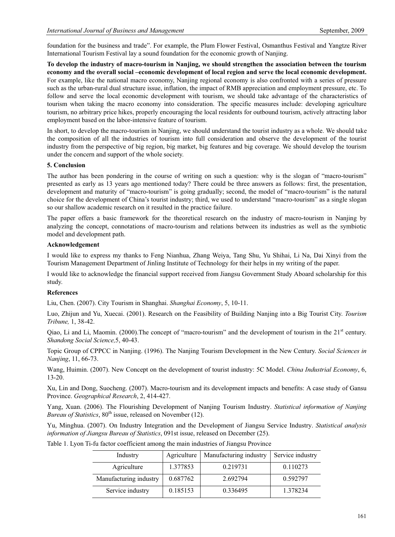foundation for the business and trade". For example, the Plum Flower Festival, Osmanthus Festival and Yangtze River International Tourism Festival lay a sound foundation for the economic growth of Nanjing.

**To develop the industry of macro-tourism in Nanjing, we should strengthen the association between the tourism economy and the overall social –economic development of local region and serve the local economic development.**  For example, like the national macro economy, Nanjing regional economy is also confronted with a series of pressure such as the urban-rural dual structure issue, inflation, the impact of RMB appreciation and employment pressure, etc. To follow and serve the local economic development with tourism, we should take advantage of the characteristics of tourism when taking the macro economy into consideration. The specific measures include: developing agriculture tourism, no arbitrary price hikes, properly encouraging the local residents for outbound tourism, actively attracting labor employment based on the labor-intensive feature of tourism.

In short, to develop the macro-tourism in Nanjing, we should understand the tourist industry as a whole. We should take the composition of all the industries of tourism into full consideration and observe the development of the tourist industry from the perspective of big region, big market, big features and big coverage. We should develop the tourism under the concern and support of the whole society.

#### **5. Conclusion**

The author has been pondering in the course of writing on such a question: why is the slogan of "macro-tourism" presented as early as 13 years ago mentioned today? There could be three answers as follows: first, the presentation, development and maturity of "macro-tourism" is going gradually; second, the model of "macro-tourism" is the natural choice for the development of China's tourist industry; third, we used to understand "macro-tourism" as a single slogan so our shallow academic research on it resulted in the practice failure.

The paper offers a basic framework for the theoretical research on the industry of macro-tourism in Nanjing by analyzing the concept, connotations of macro-tourism and relations between its industries as well as the symbiotic model and development path.

### **Acknowledgement**

I would like to express my thanks to Feng Nianhua, Zhang Weiya, Tang Shu, Yu Shihai, Li Na, Dai Xinyi from the Tourism Management Department of Jinling Institute of Technology for their helps in my writing of the paper.

I would like to acknowledge the financial support received from Jiangsu Government Study Aboard scholarship for this study.

# **References**

Liu, Chen. (2007). City Tourism in Shanghai. *Shanghai Economy*, 5, 10-11.

Luo, Zhijun and Yu, Xuecai. (2001). Research on the Feasibility of Building Nanjing into a Big Tourist City. *Tourism Tribune,* 1, 38-42.

Qiao, Li and Li, Maomin. (2000). The concept of "macro-tourism" and the development of tourism in the  $21<sup>st</sup>$  century. *Shandong Social Science,*5, 40-43.

Topic Group of CPPCC in Nanjing. (1996). The Nanjing Tourism Development in the New Century. *Social Sciences in Nanjing*, 11, 66-73.

Wang, Huimin. (2007). New Concept on the development of tourist industry: 5C Model. *China Industrial Economy*, 6, 13-20.

Xu, Lin and Dong, Suocheng. (2007). Macro-tourism and its development impacts and benefits: A case study of Gansu Province. *Geographical Research*, 2, 414-427.

Yang, Xuan. (2006). The Flourishing Development of Nanjing Tourism Industry. *Statistical information of Nanjing Bureau of Statistics*,  $80<sup>th</sup>$  issue, released on November (12).

Yu, Minghua. (2007). On Industry Integration and the Development of Jiangsu Service Industry. *Statistical analysis information of Jiangsu Bureau of Statistics*, 091st issue, released on December (25).

| Table 1. Lyon Ti-fu factor coefficient among the main industries of Jiangsu Province |  |  |
|--------------------------------------------------------------------------------------|--|--|
|                                                                                      |  |  |

| Industry               | Agriculture | Manufacturing industry | Service industry |  |
|------------------------|-------------|------------------------|------------------|--|
| Agriculture            | 1.377853    | 0.219731               | 0.110273         |  |
| Manufacturing industry | 0.687762    | 2.692794               | 0.592797         |  |
| Service industry       | 0.185153    | 0.336495               | 1.378234         |  |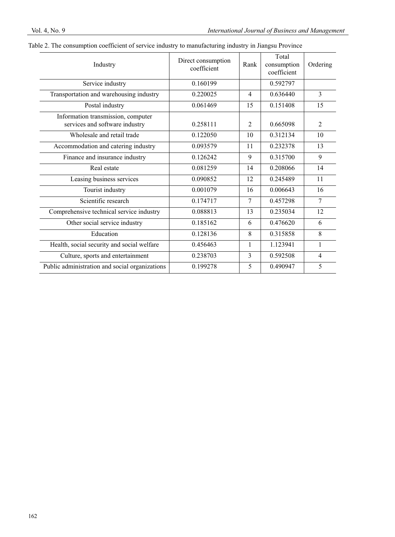| Industry                                                             | Direct consumption<br>coefficient | Rank           | Total<br>consumption<br>coefficient | Ordering       |
|----------------------------------------------------------------------|-----------------------------------|----------------|-------------------------------------|----------------|
| Service industry                                                     | 0.160199                          |                | 0.592797                            |                |
| Transportation and warehousing industry                              | 0.220025                          | $\overline{4}$ | 0.636440                            | 3              |
| Postal industry                                                      | 0.061469                          | 15             | 0.151408                            | 15             |
| Information transmission, computer<br>services and software industry | 0.258111                          | $\mathfrak{D}$ | 0.665098                            | $\overline{2}$ |
| Wholesale and retail trade                                           | 0.122050                          | 10             | 0.312134                            | 10             |
| Accommodation and catering industry                                  | 0.093579                          | 11             | 0.232378                            | 13             |
| Finance and insurance industry                                       | 0.126242                          | 9              | 0.315700                            | 9              |
| Real estate                                                          | 0.081259                          | 14             | 0.208066                            | 14             |
| Leasing business services                                            | 0.090852                          | 12             | 0.245489                            | 11             |
| Tourist industry                                                     | 0.001079                          | 16             | 0.006643                            | 16             |
| Scientific research                                                  | 0.174717                          | $\tau$         | 0.457298                            | 7              |
| Comprehensive technical service industry                             | 0.088813                          | 13             | 0.235034                            | 12             |
| Other social service industry                                        | 0.185162                          | 6              | 0.476620                            | 6              |
| Education                                                            | 0.128136                          | 8              | 0.315858                            | 8              |
| Health, social security and social welfare                           | 0.456463                          |                | 1.123941                            | 1              |
| Culture, sports and entertainment                                    | 0.238703                          | 3              | 0.592508                            | $\overline{4}$ |
| Public administration and social organizations                       | 0.199278                          | 5              | 0.490947                            | 5              |

# Table 2. The consumption coefficient of service industry to manufacturing industry in Jiangsu Province